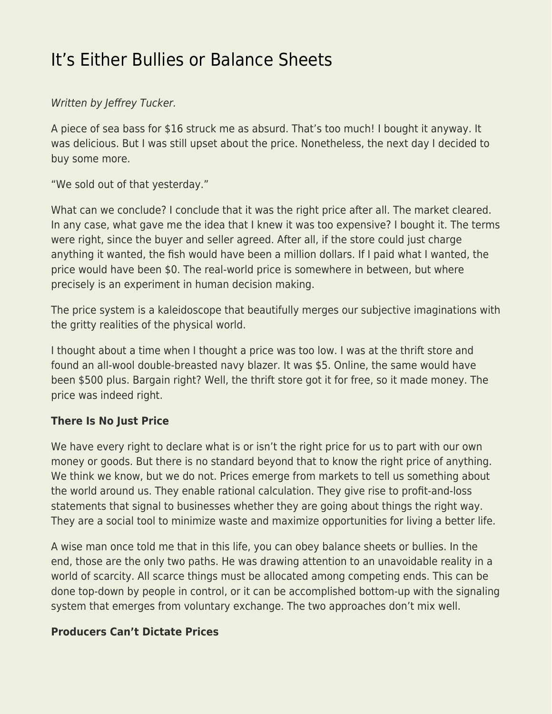# [It's Either Bullies or Balance Sheets](https://everything-voluntary.com/either-bullies-balance-sheets)

### Written by Jeffrey Tucker.

A piece of sea bass for \$16 struck me as absurd. That's too much! I bought it anyway. It was delicious. But I was still upset about the price. Nonetheless, the next day I decided to buy some more.

"We sold out of that yesterday."

What can we conclude? I conclude that it was the right price after all. The market cleared. In any case, what gave me the idea that I knew it was too expensive? I bought it. The terms were right, since the buyer and seller agreed. After all, if the store could just charge anything it wanted, the fish would have been a million dollars. If I paid what I wanted, the price would have been \$0. The real-world price is somewhere in between, but where precisely is an experiment in human decision making.

The price system is a kaleidoscope that beautifully merges our subjective imaginations with the gritty realities of the physical world.

I thought about a time when I thought a price was too low. I was at the thrift store and found an all-wool double-breasted navy blazer. It was \$5. Online, the same would have been \$500 plus. Bargain right? Well, the thrift store got it for free, so it made money. The price was indeed right.

#### **There Is No Just Price**

We have every right to declare what is or isn't the right price for us to part with our own money or goods. But there is no standard beyond that to know the right price of anything. We think we know, but we do not. Prices emerge from markets to tell us something about the world around us. They enable rational calculation. They give rise to profit-and-loss statements that signal to businesses whether they are going about things the right way. They are a social tool to minimize waste and maximize opportunities for living a better life.

A wise man once told me that in this life, you can obey balance sheets or bullies. In the end, those are the only two paths. He was drawing attention to an unavoidable reality in a world of scarcity. All scarce things must be allocated among competing ends. This can be done top-down by people in control, or it can be accomplished bottom-up with the signaling system that emerges from voluntary exchange. The two approaches don't mix well.

#### **Producers Can't Dictate Prices**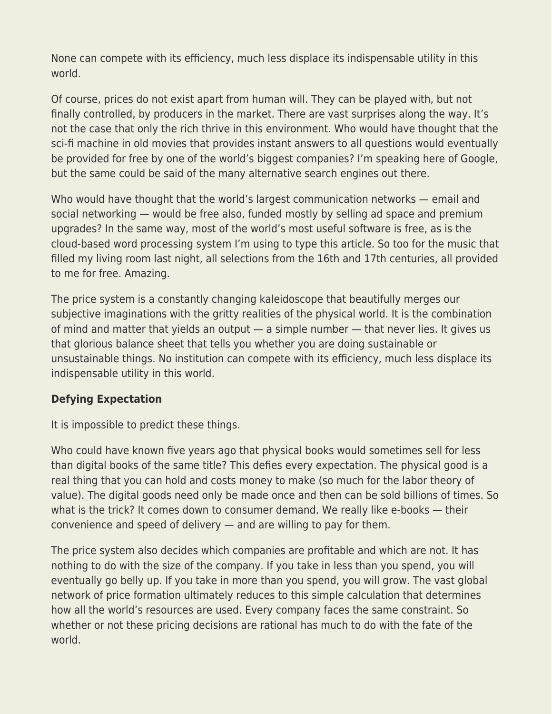None can compete with its efficiency, much less displace its indispensable utility in this world.

Of course, prices do not exist apart from human will. They can be played with, but not finally controlled, by producers in the market. There are vast surprises along the way. It's not the case that only the rich thrive in this environment. Who would have thought that the sci-fi machine in old movies that provides instant answers to all questions would eventually be provided for free by one of the world's biggest companies? I'm speaking here of Google, but the same could be said of the many alternative search engines out there.

Who would have thought that the world's largest communication networks — email and social networking — would be free also, funded mostly by selling ad space and premium upgrades? In the same way, most of the world's most useful software is free, as is the cloud-based word processing system I'm using to type this article. So too for the music that filled my living room last night, all selections from the 16th and 17th centuries, all provided to me for free. Amazing.

The price system is a constantly changing kaleidoscope that beautifully merges our subjective imaginations with the gritty realities of the physical world. It is the combination of mind and matter that yields an output — a simple number — that never lies. It gives us that glorious balance sheet that tells you whether you are doing sustainable or unsustainable things. No institution can compete with its efficiency, much less displace its indispensable utility in this world.

#### **Defying Expectation**

It is impossible to predict these things.

Who could have known five years ago that physical books would sometimes sell for less than digital books of the same title? This defies every expectation. The physical good is a real thing that you can hold and costs money to make (so much for the labor theory of value). The digital goods need only be made once and then can be sold billions of times. So what is the trick? It comes down to consumer demand. We really like e-books — their convenience and speed of delivery — and are willing to pay for them.

The price system also decides which companies are profitable and which are not. It has nothing to do with the size of the company. If you take in less than you spend, you will eventually go belly up. If you take in more than you spend, you will grow. The vast global network of price formation ultimately reduces to this simple calculation that determines how all the world's resources are used. Every company faces the same constraint. So whether or not these pricing decisions are rational has much to do with the fate of the world.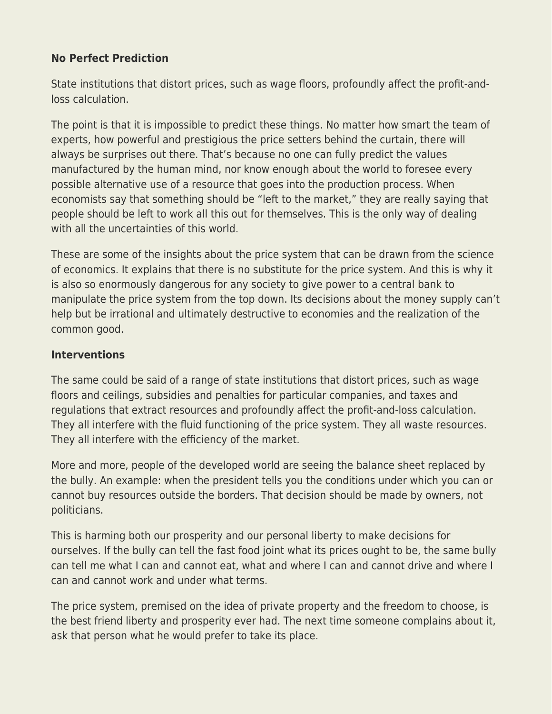## **No Perfect Prediction**

State institutions that distort prices, such as wage floors, profoundly affect the profit-andloss calculation.

The point is that it is impossible to predict these things. No matter how smart the team of experts, how powerful and prestigious the price setters behind the curtain, there will always be surprises out there. That's because no one can fully predict the values manufactured by the human mind, nor know enough about the world to foresee every possible alternative use of a resource that goes into the production process. When economists say that something should be "left to the market," they are really saying that people should be left to work all this out for themselves. This is the only way of dealing with all the uncertainties of this world.

These are some of the insights about the price system that can be drawn from the science of economics. It explains that there is no substitute for the price system. And this is why it is also so enormously dangerous for any society to give power to a central bank to manipulate the price system from the top down. Its decisions about the money supply can't help but be irrational and ultimately destructive to economies and the realization of the common good.

#### **Interventions**

The same could be said of a range of state institutions that distort prices, such as wage floors and ceilings, subsidies and penalties for particular companies, and taxes and regulations that extract resources and profoundly affect the profit-and-loss calculation. They all interfere with the fluid functioning of the price system. They all waste resources. They all interfere with the efficiency of the market.

More and more, people of the developed world are seeing the balance sheet replaced by the bully. An example: when the president tells you the conditions under which you can or cannot buy resources outside the borders. That decision should be made by owners, not politicians.

This is harming both our prosperity and our personal liberty to make decisions for ourselves. If the bully can tell the fast food joint what its prices ought to be, the same bully can tell me what I can and cannot eat, what and where I can and cannot drive and where I can and cannot work and under what terms.

The price system, premised on the idea of private property and the freedom to choose, is the best friend liberty and prosperity ever had. The next time someone complains about it, ask that person what he would prefer to take its place.